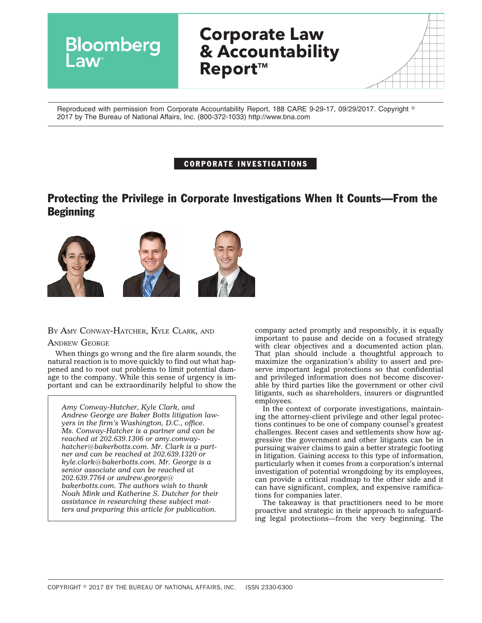Reproduced with permission from Corporate Accountability Report, 188 CARE 9-29-17, 09/29/2017. Copyright  $^\circ$ 2017 by The Bureau of National Affairs, Inc. (800-372-1033) http://www.bna.com

## CORPORATE INVESTIGATIONS

# Protecting the Privilege in Corporate Investigations When It Counts—From the **Beginning**



#### BY AMY CONWAY-HATCHER, KYLE CLARK, AND

#### ANDREW GEORGE

When things go wrong and the fire alarm sounds, the natural reaction is to move quickly to find out what happened and to root out problems to limit potential damage to the company. While this sense of urgency is important and can be extraordinarily helpful to show the

*Amy Conway-Hatcher, Kyle Clark, and Andrew George are Baker Botts litigation lawyers in the firm's Washington, D.C., office. Ms. Conway-Hatcher is a partner and can be reached at 202.639.1306 or [amy.conway](mailto:amy.conway-hatcher@bakerbotts.com)[hatcher@bakerbotts.com.](mailto:amy.conway-hatcher@bakerbotts.com) Mr. Clark is a partner and can be reached at 202.639.1320 or [kyle.clark@bakerbotts.com.](mailto:orkyle.clark@bakerbotts.com) Mr. George is a senior associate and can be reached at 202.639.7764 or [andrew.george@](mailto:andrew.george@bakerbotts.com) [bakerbotts.com.](mailto:andrew.george@bakerbotts.com) The authors wish to thank Noah Mink and Katherine S. Dutcher for their assistance in researching these subject matters and preparing this article for publication.*

company acted promptly and responsibly, it is equally important to pause and decide on a focused strategy with clear objectives and a documented action plan. That plan should include a thoughtful approach to maximize the organization's ability to assert and preserve important legal protections so that confidential and privileged information does not become discoverable by third parties like the government or other civil litigants, such as shareholders, insurers or disgruntled employees.

In the context of corporate investigations, maintaining the attorney-client privilege and other legal protections continues to be one of company counsel's greatest challenges. Recent cases and settlements show how aggressive the government and other litigants can be in pursuing waiver claims to gain a better strategic footing in litigation. Gaining access to this type of information, particularly when it comes from a corporation's internal investigation of potential wrongdoing by its employees, can provide a critical roadmap to the other side and it can have significant, complex, and expensive ramifications for companies later.

The takeaway is that practitioners need to be more proactive and strategic in their approach to safeguarding legal protections—from the very beginning. The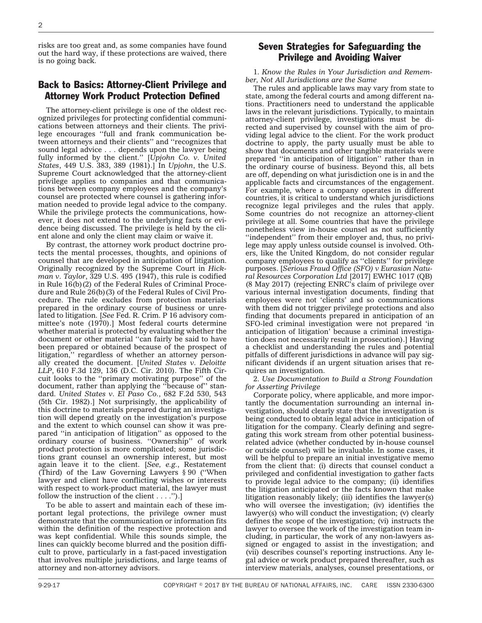risks are too great and, as some companies have found out the hard way, if these protections are waived, there is no going back.

## Back to Basics: Attorney-Client Privilege and Attorney Work Product Protection Defined

The attorney-client privilege is one of the oldest recognized privileges for protecting confidential communications between attorneys and their clients. The privilege encourages ''full and frank communication between attorneys and their clients'' and ''recognizes that sound legal advice... depends upon the lawyer being fully informed by the client.'' [*Upjohn Co. v. United States*, 449 U.S. 383, 389 (1981).] In *Upjohn*, the U.S. Supreme Court acknowledged that the attorney-client privilege applies to companies and that communications between company employees and the company's counsel are protected where counsel is gathering information needed to provide legal advice to the company. While the privilege protects the communications, however, it does not extend to the underlying facts or evidence being discussed. The privilege is held by the client alone and only the client may claim or waive it.

By contrast, the attorney work product doctrine protects the mental processes, thoughts, and opinions of counsel that are developed in anticipation of litigation. Originally recognized by the Supreme Court in *Hickman v. Taylor*, 329 U.S. 495 (1947), this rule is codified in Rule 16(b)(2) of the Federal Rules of Criminal Procedure and Rule 26(b)(3) of the Federal Rules of Civil Procedure. The rule excludes from protection materials prepared in the ordinary course of business or unrelated to litigation. [*See* Fed. R. Crim. P 16 advisory committee's note (1970).] Most federal courts determine whether material is protected by evaluating whether the document or other material ''can fairly be said to have been prepared or obtained because of the prospect of litigation,'' regardless of whether an attorney personally created the document. [*United States v. Deloitte LLP*, 610 F.3d 129, 136 (D.C. Cir. 2010). The Fifth Circuit looks to the ''primary motivating purpose'' of the document, rather than applying the ''because of'' standard. *United States v. El Paso Co.*, 682 F.2d 530, 543 (5th Cir. 1982).] Not surprisingly, the applicability of this doctrine to materials prepared during an investigation will depend greatly on the investigation's purpose and the extent to which counsel can show it was prepared ''in anticipation of litigation'' as opposed to the ordinary course of business. ''Ownership'' of work product protection is more complicated; some jurisdictions grant counsel an ownership interest, but most again leave it to the client. [*See, e.g.*, Restatement (Third) of the Law Governing Lawyers § 90 (''When lawyer and client have conflicting wishes or interests with respect to work-product material, the lawyer must follow the instruction of the client... .'').]

To be able to assert and maintain each of these important legal protections, the privilege owner must demonstrate that the communication or information fits within the definition of the respective protection and was kept confidential. While this sounds simple, the lines can quickly become blurred and the position difficult to prove, particularly in a fast-paced investigation that involves multiple jurisdictions, and large teams of attorney and non-attorney advisors.

## Seven Strategies for Safeguarding the Privilege and Avoiding Waiver

1. *Know the Rules in Your Jurisdiction and Remember, Not All Jurisdictions are the Same*

The rules and applicable laws may vary from state to state, among the federal courts and among different nations. Practitioners need to understand the applicable laws in the relevant jurisdictions. Typically, to maintain attorney-client privilege, investigations must be directed and supervised by counsel with the aim of providing legal advice to the client. For the work product doctrine to apply, the party usually must be able to show that documents and other tangible materials were prepared ''in anticipation of litigation'' rather than in the ordinary course of business. Beyond this, all bets are off, depending on what jurisdiction one is in and the applicable facts and circumstances of the engagement. For example, where a company operates in different countries, it is critical to understand which jurisdictions recognize legal privileges and the rules that apply. Some countries do not recognize an attorney-client privilege at all. Some countries that have the privilege nonetheless view in-house counsel as not sufficiently "independent" from their employer and, thus, no privilege may apply unless outside counsel is involved. Others, like the United Kingdom, do not consider regular company employees to qualify as ''clients'' for privilege purposes. [*Serious Fraud Office (SFO) v Eurasian Natural Resources Corporation Ltd* [2017] EWHC 1017 (QB) (8 May 2017) (rejecting ENRC's claim of privilege over various internal investigation documents, finding that employees were not 'clients' and so communications with them did not trigger privilege protections and also finding that documents prepared in anticipation of an SFO-led criminal investigation were not prepared 'in anticipation of litigation' because a criminal investigation does not necessarily result in prosecution).] Having a checklist and understanding the rules and potential pitfalls of different jurisdictions in advance will pay significant dividends if an urgent situation arises that requires an investigation.

2. *Use Documentation to Build a Strong Foundation for Asserting Privilege*

Corporate policy, where applicable, and more importantly the documentation surrounding an internal investigation, should clearly state that the investigation is being conducted to obtain legal advice in anticipation of litigation for the company. Clearly defining and segregating this work stream from other potential businessrelated advice (whether conducted by in-house counsel or outside counsel) will be invaluable. In some cases, it will be helpful to prepare an initial investigative memo from the client that: (i) directs that counsel conduct a privileged and confidential investigation to gather facts to provide legal advice to the company; (ii) identifies the litigation anticipated or the facts known that make litigation reasonably likely; (iii) identifies the lawyer(s) who will oversee the investigation; (iv) identifies the lawyer(s) who will conduct the investigation; (v) clearly defines the scope of the investigation; (vi) instructs the lawyer to oversee the work of the investigation team including, in particular, the work of any non-lawyers assigned or engaged to assist in the investigation; and (vii) describes counsel's reporting instructions. Any legal advice or work product prepared thereafter, such as interview materials, analyses, counsel presentations, or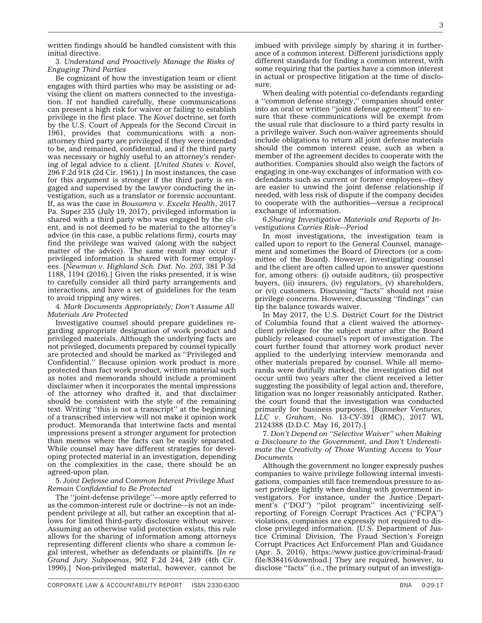written findings should be handled consistent with this initial directive.

3. *Understand and Proactively Manage the Risks of Engaging Third Parties*

Be cognizant of how the investigation team or client engages with third parties who may be assisting or advising the client on matters connected to the investigation. If not handled carefully, these communications can present a high risk for waiver or failing to establish privilege in the first place. The *Kovel* doctrine, set forth by the U.S. Court of Appeals for the Second Circuit in 1961, provides that communications with a nonattorney third party are privileged if they were intended to be, and remained, confidential, and if the third party was necessary or highly useful to an attorney's rendering of legal advice to a client. [*United States v. Kovel*, 296 F.2d 918 (2d Cir. 1961).] In most instances, the case for this argument is stronger if the third party is engaged and supervised by the lawyer conducting the investigation, such as a translator or forensic accountant. If, as was the case in *Bousamra v. Excela Health*, 2017 Pa. Super 235 (July 19, 2017), privileged information is shared with a third party who was engaged by the client, and is not deemed to be material to the attorney's advice (in this case, a public relations firm), courts may find the privilege was waived (along with the subject matter of the advice). The same result may occur if privileged information is shared with former employees. [*Newman v. Highland Sch. Dist. No. 203*, 381 P.3d 1188, 1194 (2016).] Given the risks presented, it is wise to carefully consider all third party arrangements and interactions, and have a set of guidelines for the team to avoid tripping any wires.

4. *Mark Documents Appropriately; Don't Assume All Materials Are Protected*

Investigative counsel should prepare guidelines regarding appropriate designation of work product and privileged materials. Although the underlying facts are not privileged, documents prepared by counsel typically are protected and should be marked as ''Privileged and Confidential.'' Because opinion work product is more protected than fact work product, written material such as notes and memoranda should include a prominent disclaimer when it incorporates the mental impressions of the attorney who drafted it, and that disclaimer should be consistent with the style of the remaining text. Writing ''this is not a transcript'' at the beginning of a transcribed interview will not make it opinion work product. Memoranda that intertwine facts and mental impressions present a stronger argument for protection than memos where the facts can be easily separated. While counsel may have different strategies for developing protected material in an investigation, depending on the complexities in the case, there should be an agreed-upon plan.

5. *Joint Defense and Common Interest Privilege Must Remain Confidential to Be Protected*

The ''joint-defense privilege''—more aptly referred to as the common-interest rule or doctrine—is not an independent privilege at all, but rather an exception that allows for limited third-party disclosure without waiver. Assuming an otherwise valid protection exists, this rule allows for the sharing of information among attorneys representing different clients who share a common legal interest, whether as defendants or plaintiffs. [*In re Grand Jury Subpoenas*, 902 F.2d 244, 249 (4th Cir. 1990).] Non-privileged material, however, cannot be

imbued with privilege simply by sharing it in furtherance of a common interest. Different jurisdictions apply different standards for finding a common interest, with some requiring that the parties have a common interest in actual or prospective litigation at the time of disclosure.

When dealing with potential co-defendants regarding a ''common defense strategy,'' companies should enter into an oral or written ''joint defense agreement'' to ensure that these communications will be exempt from the usual rule that disclosure to a third party results in a privilege waiver. Such non-waiver agreements should include obligations to return all joint defense materials should the common interest cease, such as when a member of the agreement decides to cooperate with the authorities. Companies should also weigh the factors of engaging in one-way exchanges of information with codefendants such as current or former employees—they are easier to unwind the joint defense relationship if needed, with less risk of dispute if the company decides to cooperate with the authorities—versus a reciprocal exchange of information.

6.*Sharing Investigative Materials and Reports of Investigations Carries Risk—Period*

In most investigations, the investigation team is called upon to report to the General Counsel, management and sometimes the Board of Directors (or a committee of the Board). However, investigating counsel and the client are often called upon to answer questions for, among others: (i) outside auditors, (ii) prospective buyers, (iii) insurers, (iv) regulators, (v) shareholders, or (vi) customers. Discussing ''facts'' should not raise privilege concerns. However, discussing ''findings'' can tip the balance towards waiver.

In May 2017, the U.S. District Court for the District of Columbia found that a client waived the attorneyclient privilege for the subject matter after the Board publicly released counsel's report of investigation. The court further found that attorney work product never applied to the underlying interview memoranda and other materials prepared by counsel. While all memoranda were dutifully marked, the investigation did not occur until two years after the client received a letter suggesting the possibility of legal action and, therefore, litigation was no longer reasonably anticipated. Rather, the court found that the investigation was conducted primarily for business purposes. [*Banneker Ventures, LLC v. Graham*, No. 13-CV-391 (RMC), 2017 WL 2124388 (D.D.C. May 16, 2017).]

7. *Don't Depend on ''Selective Waiver'' when Making a Disclosure to the Government, and Don't Underestimate the Creativity of Those Wanting Access to Your Documents*

Although the government no longer expressly pushes companies to waive privilege following internal investigations, companies still face tremendous pressure to assert privilege lightly when dealing with government investigators. For instance, under the Justice Department's ("DOJ") "pilot program" incentivizing selfreporting of Foreign Corrupt Practices Act (''FCPA'') violations, companies are expressly not required to disclose privileged information. [U.S. Department of Justice Criminal Division, The Fraud Section's Foreign Corrupt Practices Act Enforcement Plan and Guidance (Apr. 5, 2016), [https://www.justice.gov/criminal-fraud/](https://www.justice.gov/criminal-fraud/file/838416/download) [file/838416/download.](https://www.justice.gov/criminal-fraud/file/838416/download)] They are required, however, to disclose ''facts'' (i.e., the primary output of an investiga